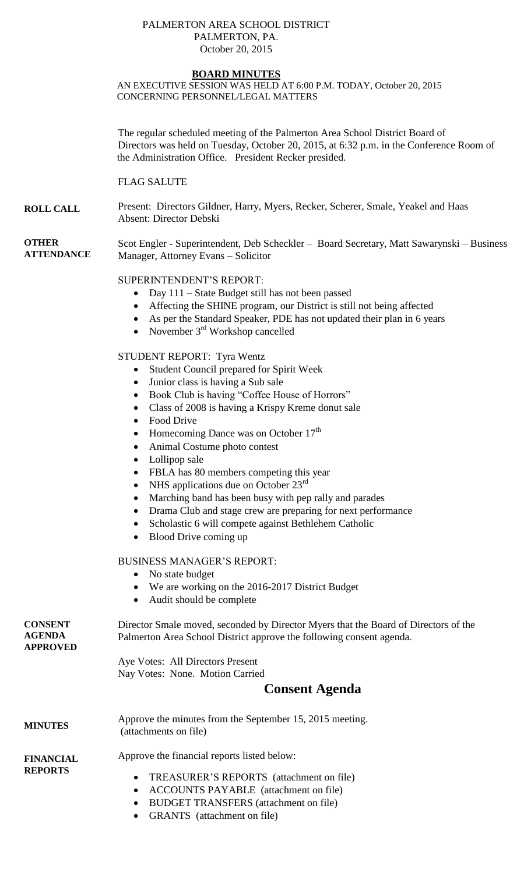#### PALMERTON AREA SCHOOL DISTRICT PALMERTON, PA. October 20, 2015

## **BOARD MINUTES**

AN EXECUTIVE SESSION WAS HELD AT 6:00 P.M. TODAY, October 20, 2015 CONCERNING PERSONNEL/LEGAL MATTERS

The regular scheduled meeting of the Palmerton Area School District Board of Directors was held on Tuesday, October 20, 2015, at 6:32 p.m. in the Conference Room of the Administration Office. President Recker presided.

FLAG SALUTE

**ROLL CALL** Present: Directors Gildner, Harry, Myers, Recker, Scherer, Smale, Yeakel and Haas Absent: Director Debski

**OTHER ATTENDANCE** Scot Engler - Superintendent, Deb Scheckler – Board Secretary, Matt Sawarynski – Business Manager, Attorney Evans – Solicitor

## SUPERINTENDENT'S REPORT:

- Day 111 State Budget still has not been passed
- Affecting the SHINE program, our District is still not being affected
- As per the Standard Speaker, PDE has not updated their plan in 6 years
- November  $3<sup>rd</sup>$  Workshop cancelled

## STUDENT REPORT: Tyra Wentz

- Student Council prepared for Spirit Week
- Junior class is having a Sub sale
- Book Club is having "Coffee House of Horrors"
- Class of 2008 is having a Krispy Kreme donut sale
- Food Drive
- Homecoming Dance was on October  $17<sup>th</sup>$
- Animal Costume photo contest
- Lollipop sale
- FBLA has 80 members competing this year
- NHS applications due on October  $23^{\text{rd}}$
- Marching band has been busy with pep rally and parades
- Drama Club and stage crew are preparing for next performance
- Scholastic 6 will compete against Bethlehem Catholic
- Blood Drive coming up

### BUSINESS MANAGER'S REPORT:

- No state budget
- We are working on the 2016-2017 District Budget
- Audit should be complete

| <b>CONSENT</b><br><b>AGENDA</b><br><b>APPROVED</b> | Director Smale moved, seconded by Director Myers that the Board of Directors of the<br>Palmerton Area School District approve the following consent agenda. |  |  |
|----------------------------------------------------|-------------------------------------------------------------------------------------------------------------------------------------------------------------|--|--|
|                                                    | Aye Votes: All Directors Present                                                                                                                            |  |  |
|                                                    | Nay Votes: None. Motion Carried                                                                                                                             |  |  |
|                                                    | <b>Consent Agenda</b>                                                                                                                                       |  |  |
| <b>MINUTES</b>                                     | Approve the minutes from the September 15, 2015 meeting.<br>(attachments on file)                                                                           |  |  |
| <b>FINANCIAL</b><br><b>REPORTS</b>                 | Approve the financial reports listed below:<br>TREASURER'S REPORTS (attachment on file)<br>$\bullet$<br><b>ACCOUNTS PAYABLE</b> (attachment on file)        |  |  |
|                                                    |                                                                                                                                                             |  |  |

- BUDGET TRANSFERS (attachment on file)
- GRANTS (attachment on file)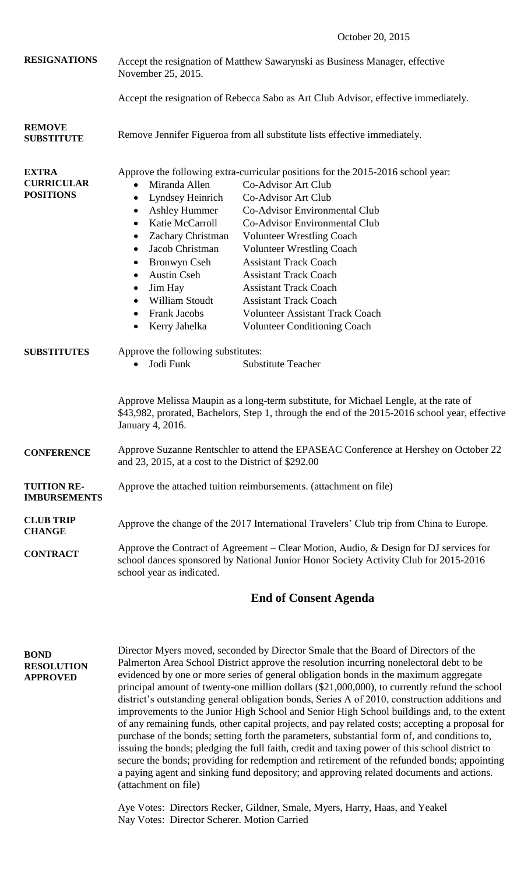October 20, 2015

| <b>RESIGNATIONS</b>                                   | Accept the resignation of Matthew Sawarynski as Business Manager, effective<br>November 25, 2015.                                                                                                                                                                                                                                                                           |                                                                                                                                                                                                                                                                                                                                                                                                                                                                                                        |  |
|-------------------------------------------------------|-----------------------------------------------------------------------------------------------------------------------------------------------------------------------------------------------------------------------------------------------------------------------------------------------------------------------------------------------------------------------------|--------------------------------------------------------------------------------------------------------------------------------------------------------------------------------------------------------------------------------------------------------------------------------------------------------------------------------------------------------------------------------------------------------------------------------------------------------------------------------------------------------|--|
|                                                       |                                                                                                                                                                                                                                                                                                                                                                             | Accept the resignation of Rebecca Sabo as Art Club Advisor, effective immediately.                                                                                                                                                                                                                                                                                                                                                                                                                     |  |
| <b>REMOVE</b><br><b>SUBSTITUTE</b>                    | Remove Jennifer Figueroa from all substitute lists effective immediately.                                                                                                                                                                                                                                                                                                   |                                                                                                                                                                                                                                                                                                                                                                                                                                                                                                        |  |
| <b>EXTRA</b><br><b>CURRICULAR</b><br><b>POSITIONS</b> | Miranda Allen<br>$\bullet$<br>Lyndsey Heinrich<br>$\bullet$<br><b>Ashley Hummer</b><br>$\bullet$<br>Katie McCarroll<br>$\bullet$<br>Zachary Christman<br>$\bullet$<br>Jacob Christman<br>$\bullet$<br>Bronwyn Cseh<br>$\bullet$<br><b>Austin Cseh</b><br>$\bullet$<br>Jim Hay<br>$\bullet$<br>William Stoudt<br>$\bullet$<br><b>Frank Jacobs</b><br>٠<br>Kerry Jahelka<br>٠ | Approve the following extra-curricular positions for the 2015-2016 school year:<br><b>Co-Advisor Art Club</b><br>Co-Advisor Art Club<br><b>Co-Advisor Environmental Club</b><br>Co-Advisor Environmental Club<br><b>Volunteer Wrestling Coach</b><br><b>Volunteer Wrestling Coach</b><br><b>Assistant Track Coach</b><br><b>Assistant Track Coach</b><br><b>Assistant Track Coach</b><br><b>Assistant Track Coach</b><br><b>Volunteer Assistant Track Coach</b><br><b>Volunteer Conditioning Coach</b> |  |
| <b>SUBSTITUTES</b>                                    | Approve the following substitutes:<br>Jodi Funk<br><b>Substitute Teacher</b><br>$\bullet$<br>Approve Melissa Maupin as a long-term substitute, for Michael Lengle, at the rate of<br>\$43,982, prorated, Bachelors, Step 1, through the end of the 2015-2016 school year, effective<br>January 4, 2016.                                                                     |                                                                                                                                                                                                                                                                                                                                                                                                                                                                                                        |  |
| <b>CONFERENCE</b>                                     | Approve Suzanne Rentschler to attend the EPASEAC Conference at Hershey on October 22<br>and 23, 2015, at a cost to the District of \$292.00                                                                                                                                                                                                                                 |                                                                                                                                                                                                                                                                                                                                                                                                                                                                                                        |  |
| <b>TUITION RE-</b><br><b>IMBURSEMENTS</b>             | Approve the attached tuition reimbursements. (attachment on file)                                                                                                                                                                                                                                                                                                           |                                                                                                                                                                                                                                                                                                                                                                                                                                                                                                        |  |
| <b>CLUB TRIP</b><br><b>CHANGE</b>                     | Approve the change of the 2017 International Travelers' Club trip from China to Europe.                                                                                                                                                                                                                                                                                     |                                                                                                                                                                                                                                                                                                                                                                                                                                                                                                        |  |
| <b>CONTRACT</b>                                       | Approve the Contract of Agreement – Clear Motion, Audio, $\&$ Design for DJ services for<br>school dances sponsored by National Junior Honor Society Activity Club for 2015-2016<br>school year as indicated.                                                                                                                                                               |                                                                                                                                                                                                                                                                                                                                                                                                                                                                                                        |  |

# **End of Consent Agenda**

**BOND RESOLUTION APPROVED** Director Myers moved, seconded by Director Smale that the Board of Directors of the Palmerton Area School District approve the resolution incurring nonelectoral debt to be evidenced by one or more series of general obligation bonds in the maximum aggregate principal amount of twenty-one million dollars (\$21,000,000), to currently refund the school district's outstanding general obligation bonds, Series A of 2010, construction additions and improvements to the Junior High School and Senior High School buildings and, to the extent of any remaining funds, other capital projects, and pay related costs; accepting a proposal for purchase of the bonds; setting forth the parameters, substantial form of, and conditions to, issuing the bonds; pledging the full faith, credit and taxing power of this school district to secure the bonds; providing for redemption and retirement of the refunded bonds; appointing a paying agent and sinking fund depository; and approving related documents and actions. (attachment on file)

> Aye Votes: Directors Recker, Gildner, Smale, Myers, Harry, Haas, and Yeakel Nay Votes: Director Scherer. Motion Carried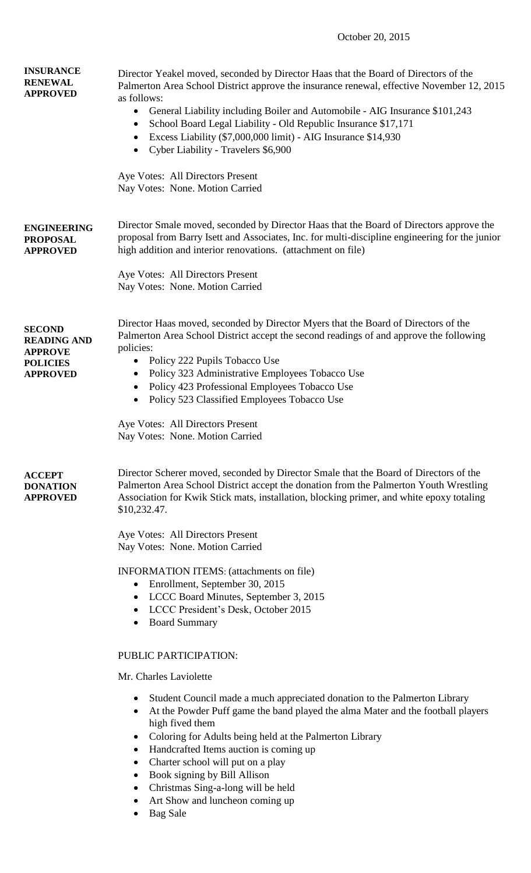## October 20, 2015

| <b>INSURANCE</b><br><b>RENEWAL</b><br><b>APPROVED</b>                                       | Director Yeakel moved, seconded by Director Haas that the Board of Directors of the<br>Palmerton Area School District approve the insurance renewal, effective November 12, 2015<br>as follows:<br>General Liability including Boiler and Automobile - AIG Insurance \$101,243<br>$\bullet$<br>School Board Legal Liability - Old Republic Insurance \$17,171<br>$\bullet$<br>Excess Liability (\$7,000,000 limit) - AIG Insurance \$14,930<br>Cyber Liability - Travelers \$6,900<br>Aye Votes: All Directors Present<br>Nay Votes: None. Motion Carried |  |  |
|---------------------------------------------------------------------------------------------|-----------------------------------------------------------------------------------------------------------------------------------------------------------------------------------------------------------------------------------------------------------------------------------------------------------------------------------------------------------------------------------------------------------------------------------------------------------------------------------------------------------------------------------------------------------|--|--|
| <b>ENGINEERING</b><br><b>PROPOSAL</b><br><b>APPROVED</b>                                    | Director Smale moved, seconded by Director Haas that the Board of Directors approve the<br>proposal from Barry Isett and Associates, Inc. for multi-discipline engineering for the junior<br>high addition and interior renovations. (attachment on file)<br>Aye Votes: All Directors Present                                                                                                                                                                                                                                                             |  |  |
|                                                                                             | Nay Votes: None. Motion Carried                                                                                                                                                                                                                                                                                                                                                                                                                                                                                                                           |  |  |
| <b>SECOND</b><br><b>READING AND</b><br><b>APPROVE</b><br><b>POLICIES</b><br><b>APPROVED</b> | Director Haas moved, seconded by Director Myers that the Board of Directors of the<br>Palmerton Area School District accept the second readings of and approve the following<br>policies:<br>Policy 222 Pupils Tobacco Use<br>$\bullet$<br>Policy 323 Administrative Employees Tobacco Use<br>$\bullet$<br>Policy 423 Professional Employees Tobacco Use<br>$\bullet$<br>Policy 523 Classified Employees Tobacco Use                                                                                                                                      |  |  |
|                                                                                             | Aye Votes: All Directors Present<br>Nay Votes: None. Motion Carried                                                                                                                                                                                                                                                                                                                                                                                                                                                                                       |  |  |
| <b>ACCEPT</b><br><b>DONATION</b><br><b>APPROVED</b>                                         | Director Scherer moved, seconded by Director Smale that the Board of Directors of the<br>Palmerton Area School District accept the donation from the Palmerton Youth Wrestling<br>Association for Kwik Stick mats, installation, blocking primer, and white epoxy totaling<br>\$10,232.47.                                                                                                                                                                                                                                                                |  |  |
|                                                                                             | Aye Votes: All Directors Present<br>Nay Votes: None. Motion Carried                                                                                                                                                                                                                                                                                                                                                                                                                                                                                       |  |  |
|                                                                                             | <b>INFORMATION ITEMS:</b> (attachments on file)<br>Enrollment, September 30, 2015<br>$\bullet$<br>LCCC Board Minutes, September 3, 2015<br>$\bullet$<br>LCCC President's Desk, October 2015<br><b>Board Summary</b>                                                                                                                                                                                                                                                                                                                                       |  |  |
|                                                                                             | PUBLIC PARTICIPATION:                                                                                                                                                                                                                                                                                                                                                                                                                                                                                                                                     |  |  |
|                                                                                             | Mr. Charles Laviolette                                                                                                                                                                                                                                                                                                                                                                                                                                                                                                                                    |  |  |
|                                                                                             | Student Council made a much appreciated donation to the Palmerton Library<br>$\bullet$<br>At the Powder Puff game the band played the alma Mater and the football players<br>$\bullet$<br>high fived them<br>Coloring for Adults being held at the Palmerton Library<br>$\bullet$<br>Handcrafted Items auction is coming up<br>$\bullet$<br>Charter school will put on a play<br>$\bullet$<br>Book signing by Bill Allison<br>Christmas Sing-a-long will be held<br>Art Show and luncheon coming up<br>$D_{\text{max}}$ $C_{\text{min}}$                  |  |  |

Bag Sale